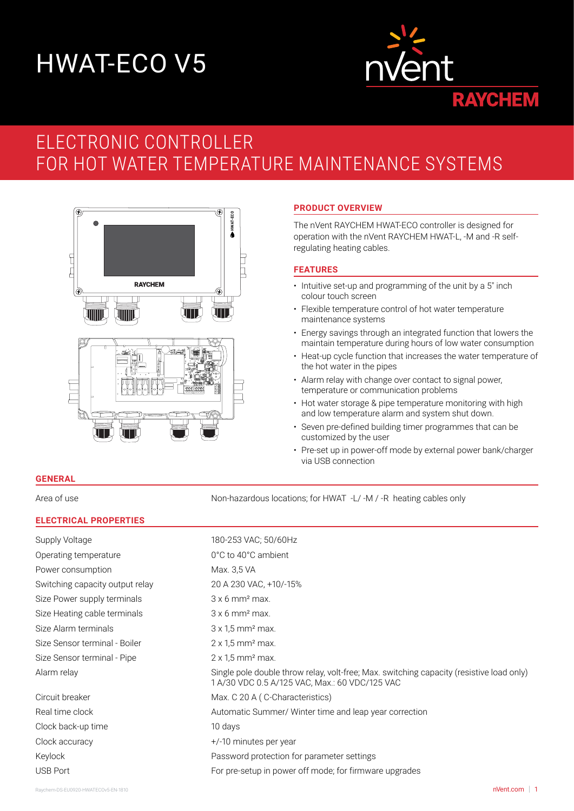# HWAT-ECO V5



# ELECTRONIC CONTROLLER FOR HOT WATER TEMPERATURE MAINTENANCE SYSTEMS



# **PRODUCT OVERVIEW**

The nVent RAYCHEM HWAT-ECO controller is designed for operation with the nVent RAYCHEM HWAT-L, -M and -R selfregulating heating cables.

# **FEATURES**

- Intuitive set-up and programming of the unit by a 5" inch colour touch screen
- Flexible temperature control of hot water temperature maintenance systems
- Energy savings through an integrated function that lowers the maintain temperature during hours of low water consumption
- Heat-up cycle function that increases the water temperature of the hot water in the pipes
- Alarm relay with change over contact to signal power, temperature or communication problems
- Hot water storage & pipe temperature monitoring with high and low temperature alarm and system shut down.
- Seven pre-defined building timer programmes that can be customized by the user
- Pre-set up in power-off mode by external power bank/charger via USB connection

## **GENERAL**

Area of use Non-hazardous locations; for HWAT -L/ -M / -R heating cables only

## **ELECTRICAL PROPERTIES**

| Supply Voltage                  | 180-253 VAC; 50/60Hz                                                                                                                       |
|---------------------------------|--------------------------------------------------------------------------------------------------------------------------------------------|
| Operating temperature           | 0°C to 40°C ambient                                                                                                                        |
| Power consumption               | Max. 3,5 VA                                                                                                                                |
| Switching capacity output relay | 20 A 230 VAC, +10/-15%                                                                                                                     |
| Size Power supply terminals     | $3x 6$ mm <sup>2</sup> max.                                                                                                                |
| Size Heating cable terminals    | $3 \times 6$ mm <sup>2</sup> max.                                                                                                          |
| Size Alarm terminals            | $3 \times 1.5$ mm <sup>2</sup> max.                                                                                                        |
| Size Sensor terminal - Boiler   | $2 \times 1.5$ mm <sup>2</sup> max.                                                                                                        |
| Size Sensor terminal - Pipe     | $2 \times 1.5$ mm <sup>2</sup> max.                                                                                                        |
| Alarm relay                     | Single pole double throw relay, volt-free; Max. switching capacity (resistive load only)<br>1 A/30 VDC 0.5 A/125 VAC, Max.: 60 VDC/125 VAC |
| Circuit breaker                 | Max. C 20 A (C-Characteristics)                                                                                                            |
| Real time clock                 | Automatic Summer/ Winter time and leap year correction                                                                                     |
| Clock back-up time              | 10 days                                                                                                                                    |
| Clock accuracy                  | +/-10 minutes per year                                                                                                                     |
| Keylock                         | Password protection for parameter settings                                                                                                 |
| <b>USB Port</b>                 | For pre-setup in power off mode; for firmware upgrades                                                                                     |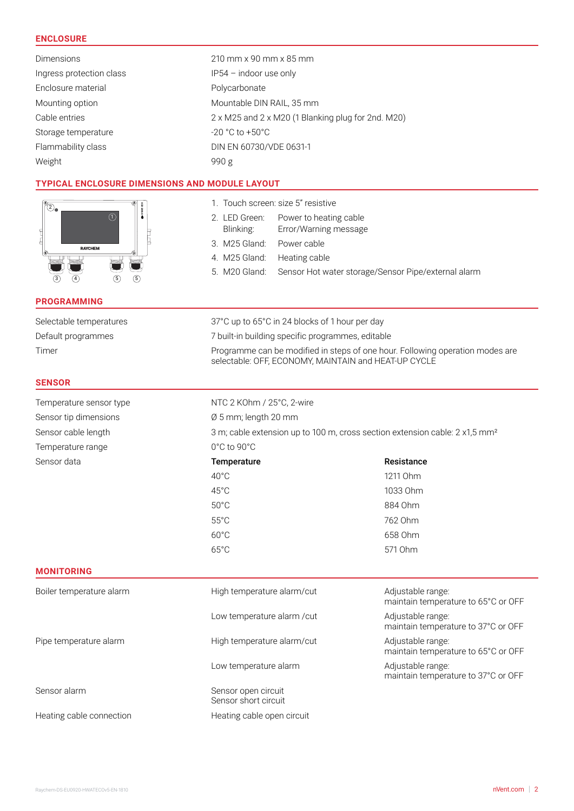# **ENCLOSURE**

| <b>Dimensions</b>        | 210 mm x 90 mm x 85 mm                             |
|--------------------------|----------------------------------------------------|
| Ingress protection class | $IP54$ – indoor use only                           |
| Enclosure material       | Polycarbonate                                      |
| Mounting option          | Mountable DIN RAIL, 35 mm                          |
| Cable entries            | 2 x M25 and 2 x M20 (1 Blanking plug for 2nd. M20) |
| Storage temperature      | $-20\degree$ C to $+50\degree$ C                   |
| Flammability class       | DIN EN 60730/VDE 0631-1                            |
| Weight                   | 990 g                                              |
|                          |                                                    |

1. Touch screen: size 5" resistive

3. M25 Gland: Power cable 4. M25 Gland: Heating cable

2. LED Green: Power to heating cable Blinking: Error/Warning message

5. M20 Gland: Sensor Hot water storage/Sensor Pipe/external alarm

# **TYPICAL ENCLOSURE DIMENSIONS AND MODULE LAYOUT**

| $\hat{2}$ |                |   | Œ<br>HWAT-ECO |
|-----------|----------------|---|---------------|
| ඹ         | <b>RAYCHEM</b> |   | Ē             |
|           |                |   |               |
|           |                | 5 | 5             |

# **PROGRAMMING**

| <b>PROGRAMMING</b>       |                                                                                                                                       |                                                          |  |
|--------------------------|---------------------------------------------------------------------------------------------------------------------------------------|----------------------------------------------------------|--|
| Selectable temperatures  |                                                                                                                                       | 37°C up to 65°C in 24 blocks of 1 hour per day           |  |
| Default programmes       | 7 built-in building specific programmes, editable                                                                                     |                                                          |  |
| Timer                    | Programme can be modified in steps of one hour. Following operation modes are<br>selectable: OFF, ECONOMY, MAINTAIN and HEAT-UP CYCLE |                                                          |  |
| <b>SENSOR</b>            |                                                                                                                                       |                                                          |  |
| Temperature sensor type  | NTC 2 KOhm / 25°C, 2-wire                                                                                                             |                                                          |  |
| Sensor tip dimensions    | Ø 5 mm; length 20 mm                                                                                                                  |                                                          |  |
| Sensor cable length      | 3 m; cable extension up to 100 m, cross section extension cable: 2 x1,5 mm <sup>2</sup>                                               |                                                          |  |
| Temperature range        | $0^{\circ}$ C to 90 $^{\circ}$ C                                                                                                      |                                                          |  |
| Sensor data              | <b>Temperature</b>                                                                                                                    | Resistance                                               |  |
|                          | $40^{\circ}$ C                                                                                                                        | 1211 Ohm                                                 |  |
|                          | $45^{\circ}$ C                                                                                                                        | 1033 Ohm                                                 |  |
|                          | $50^{\circ}$ C                                                                                                                        | 884 Ohm                                                  |  |
|                          | $55^{\circ}$ C                                                                                                                        | 762 Ohm                                                  |  |
|                          | $60^{\circ}$ C                                                                                                                        | 658 Ohm                                                  |  |
|                          | $65^{\circ}$ C                                                                                                                        | 571 Ohm                                                  |  |
| <b>MONITORING</b>        |                                                                                                                                       |                                                          |  |
| Boiler temperature alarm | High temperature alarm/cut                                                                                                            | Adjustable range:<br>maintain temperature to 65°C or OFF |  |

Low temperature alarm / cut Adjustable range:

Low temperature alarm and all all all all all and a Adjustable range:

Pipe temperature alarm and High temperature alarm/cut Adjustable range:

Sensor alarm Sensor open circuit

Heating cable connection Heating cable open circuit

Sensor short circuit

maintain temperature to 37°C or OFF

maintain temperature to 65°C or OFF

maintain temperature to 37°C or OFF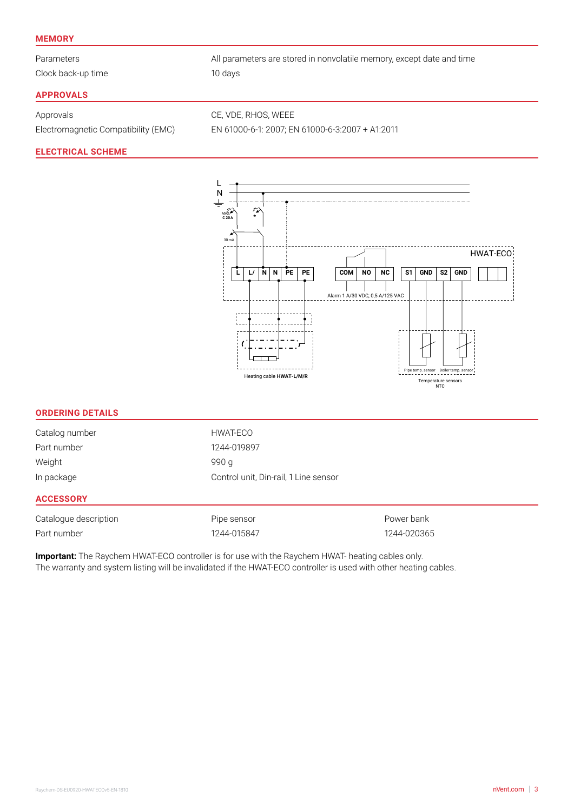#### **MEMORY**

Clock back-up time 10 days

Parameters **All parameters are stored in nonvolatile memory, except date and time** 

# **APPROVALS**

Approvals CE, VDE, RHOS, WEEE

Electromagnetic Compatibility (EMC) EN 61000-6-1: 2007; EN 61000-6-3:2007 + A1:2011

## **ELECTRICAL SCHEME**



#### **ORDERING DETAILS**

| In package     | Control unit, Din-rail, 1 Line sensor |
|----------------|---------------------------------------|
| Weight         | 990 g                                 |
| Part number    | 1244-019897                           |
| Catalog number | HWAT-ECO                              |

#### **ACCESSORY**

| Catalogue description | Pipe sensor | Power bank  |
|-----------------------|-------------|-------------|
| Part number           | 1244-015847 | 1244-020365 |

**Important:** The Raychem HWAT-ECO controller is for use with the Raychem HWAT- heating cables only. The warranty and system listing will be invalidated if the HWAT-ECO controller is used with other heating cables.